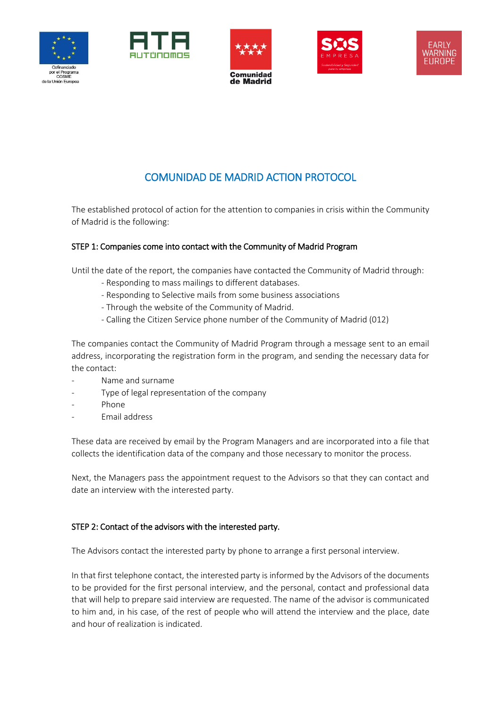









# COMUNIDAD DE MADRID ACTION PROTOCOL

The established protocol of action for the attention to companies in crisis within the Community of Madrid is the following:

#### STEP 1: Companies come into contact with the Community of Madrid Program

Until the date of the report, the companies have contacted the Community of Madrid through:

- Responding to mass mailings to different databases.
- Responding to Selective mails from some business associations
- Through the website of the Community of Madrid.
- Calling the Citizen Service phone number of the Community of Madrid (012)

The companies contact the Community of Madrid Program through a message sent to an email address, incorporating the registration form in the program, and sending the necessary data for the contact:

- Name and surname
- Type of legal representation of the company
- Phone
- Email address

These data are received by email by the Program Managers and are incorporated into a file that collects the identification data of the company and those necessary to monitor the process.

Next, the Managers pass the appointment request to the Advisors so that they can contact and date an interview with the interested party.

#### STEP 2: Contact of the advisors with the interested party.

The Advisors contact the interested party by phone to arrange a first personal interview.

In that first telephone contact, the interested party is informed by the Advisors of the documents to be provided for the first personal interview, and the personal, contact and professional data that will help to prepare said interview are requested. The name of the advisor is communicated to him and, in his case, of the rest of people who will attend the interview and the place, date and hour of realization is indicated.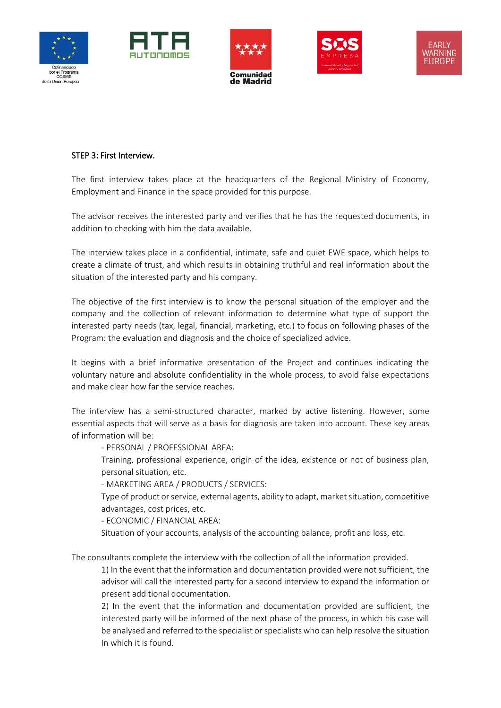









#### STEP 3: First Interview.

The first interview takes place at the headquarters of the Regional Ministry of Economy, Employment and Finance in the space provided for this purpose.

The advisor receives the interested party and verifies that he has the requested documents, in addition to checking with him the data available.

The interview takes place in a confidential, intimate, safe and quiet EWE space, which helps to create a climate of trust, and which results in obtaining truthful and real information about the situation of the interested party and his company.

The objective of the first interview is to know the personal situation of the employer and the company and the collection of relevant information to determine what type of support the interested party needs (tax, legal, financial, marketing, etc.) to focus on following phases of the Program: the evaluation and diagnosis and the choice of specialized advice.

It begins with a brief informative presentation of the Project and continues indicating the voluntary nature and absolute confidentiality in the whole process, to avoid false expectations and make clear how far the service reaches.

The interview has a semi-structured character, marked by active listening. However, some essential aspects that will serve as a basis for diagnosis are taken into account. These key areas of information will be:

- PERSONAL / PROFESSIONAL AREA:

Training, professional experience, origin of the idea, existence or not of business plan, personal situation, etc.

- MARKETING AREA / PRODUCTS / SERVICES:

Type of product or service, external agents, ability to adapt, market situation, competitive advantages, cost prices, etc.

- ECONOMIC / FINANCIAL AREA:

Situation of your accounts, analysis of the accounting balance, profit and loss, etc.

The consultants complete the interview with the collection of all the information provided.

1) In the event that the information and documentation provided were not sufficient, the advisor will call the interested party for a second interview to expand the information or present additional documentation.

2) In the event that the information and documentation provided are sufficient, the interested party will be informed of the next phase of the process, in which his case will be analysed and referred to the specialist or specialists who can help resolve the situation In which it is found.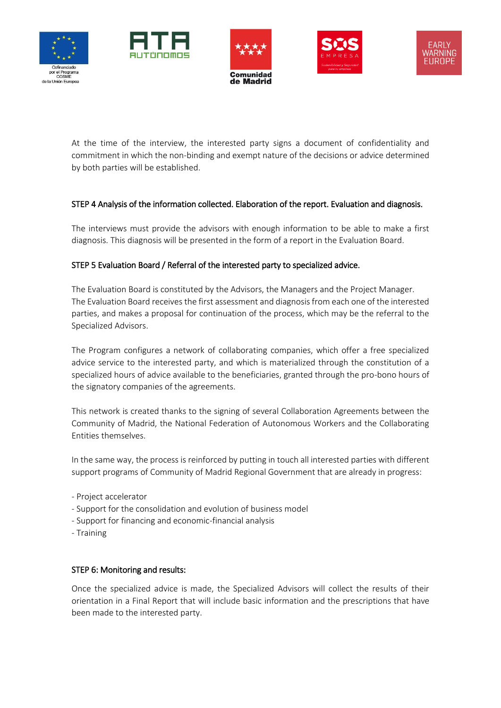









At the time of the interview, the interested party signs a document of confidentiality and commitment in which the non-binding and exempt nature of the decisions or advice determined by both parties will be established.

## STEP 4 Analysis of the information collected. Elaboration of the report. Evaluation and diagnosis.

The interviews must provide the advisors with enough information to be able to make a first diagnosis. This diagnosis will be presented in the form of a report in the Evaluation Board.

## STEP 5 Evaluation Board / Referral of the interested party to specialized advice.

The Evaluation Board is constituted by the Advisors, the Managers and the Project Manager. The Evaluation Board receives the first assessment and diagnosis from each one of the interested parties, and makes a proposal for continuation of the process, which may be the referral to the Specialized Advisors.

The Program configures a network of collaborating companies, which offer a free specialized advice service to the interested party, and which is materialized through the constitution of a specialized hours of advice available to the beneficiaries, granted through the pro-bono hours of the signatory companies of the agreements.

This network is created thanks to the signing of several Collaboration Agreements between the Community of Madrid, the National Federation of Autonomous Workers and the Collaborating Entities themselves.

In the same way, the process is reinforced by putting in touch all interested parties with different support programs of Community of Madrid Regional Government that are already in progress:

- Project accelerator
- Support for the consolidation and evolution of business model
- Support for financing and economic-financial analysis
- Training

## STEP 6: Monitoring and results:

Once the specialized advice is made, the Specialized Advisors will collect the results of their orientation in a Final Report that will include basic information and the prescriptions that have been made to the interested party.